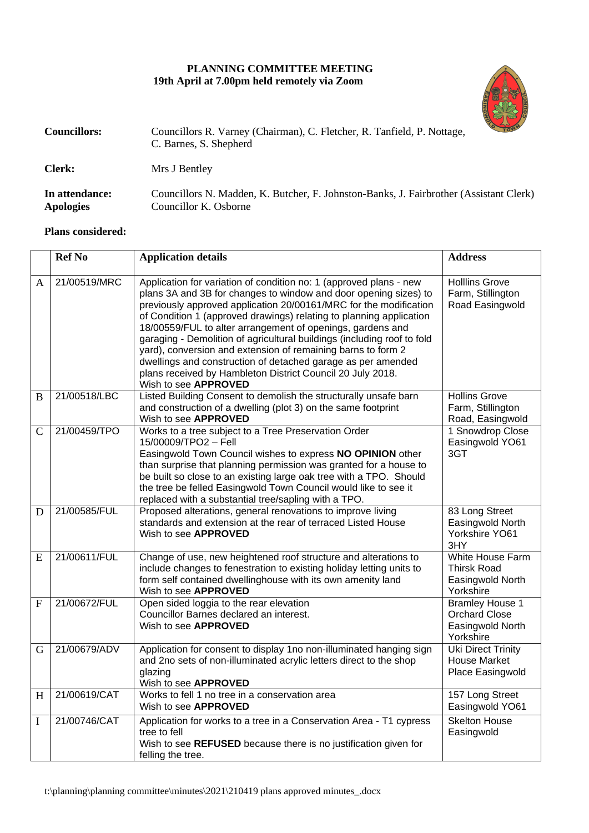## **PLANNING COMMITTEE MEETING 19th April at 7.00pm held remotely via Zoom**



| <b>Councillors:</b>                | Councillors R. Varney (Chairman), C. Fletcher, R. Tanfield, P. Nottage,<br>C. Barnes, S. Shepherd               | <b>TOWY</b> |  |
|------------------------------------|-----------------------------------------------------------------------------------------------------------------|-------------|--|
| <b>Clerk:</b>                      | Mrs J Bentley                                                                                                   |             |  |
| In attendance:<br><b>Apologies</b> | Councillors N. Madden, K. Butcher, F. Johnston-Banks, J. Fairbrother (Assistant Clerk)<br>Councillor K. Osborne |             |  |

## **Plans considered:**

|               | <b>Ref No</b> | <b>Application details</b>                                                                                                                                                                                                                                                                                                                                                                                                                                                                                                                                                                                                                        | <b>Address</b>                                                                  |
|---------------|---------------|---------------------------------------------------------------------------------------------------------------------------------------------------------------------------------------------------------------------------------------------------------------------------------------------------------------------------------------------------------------------------------------------------------------------------------------------------------------------------------------------------------------------------------------------------------------------------------------------------------------------------------------------------|---------------------------------------------------------------------------------|
| A             | 21/00519/MRC  | Application for variation of condition no: 1 (approved plans - new<br>plans 3A and 3B for changes to window and door opening sizes) to<br>previously approved application 20/00161/MRC for the modification<br>of Condition 1 (approved drawings) relating to planning application<br>18/00559/FUL to alter arrangement of openings, gardens and<br>garaging - Demolition of agricultural buildings (including roof to fold<br>yard), conversion and extension of remaining barns to form 2<br>dwellings and construction of detached garage as per amended<br>plans received by Hambleton District Council 20 July 2018.<br>Wish to see APPROVED | <b>Hollins Grove</b><br>Farm, Stillington<br>Road Easingwold                    |
| B             | 21/00518/LBC  | Listed Building Consent to demolish the structurally unsafe barn<br>and construction of a dwelling (plot 3) on the same footprint<br>Wish to see APPROVED                                                                                                                                                                                                                                                                                                                                                                                                                                                                                         | <b>Hollins Grove</b><br>Farm, Stillington<br>Road, Easingwold                   |
| $\mathcal{C}$ | 21/00459/TPO  | Works to a tree subject to a Tree Preservation Order<br>15/00009/TPO2 - Fell<br>Easingwold Town Council wishes to express NO OPINION other<br>than surprise that planning permission was granted for a house to<br>be built so close to an existing large oak tree with a TPO. Should<br>the tree be felled Easingwold Town Council would like to see it<br>replaced with a substantial tree/sapling with a TPO.                                                                                                                                                                                                                                  | 1 Snowdrop Close<br>Easingwold YO61<br>3GT                                      |
| D             | 21/00585/FUL  | Proposed alterations, general renovations to improve living<br>standards and extension at the rear of terraced Listed House<br>Wish to see APPROVED                                                                                                                                                                                                                                                                                                                                                                                                                                                                                               | 83 Long Street<br>Easingwold North<br>Yorkshire YO61<br>3HY                     |
| E             | 21/00611/FUL  | Change of use, new heightened roof structure and alterations to<br>include changes to fenestration to existing holiday letting units to<br>form self contained dwellinghouse with its own amenity land<br>Wish to see APPROVED                                                                                                                                                                                                                                                                                                                                                                                                                    | <b>White House Farm</b><br><b>Thirsk Road</b><br>Easingwold North<br>Yorkshire  |
| $\mathbf{F}$  | 21/00672/FUL  | Open sided loggia to the rear elevation<br>Councillor Barnes declared an interest.<br>Wish to see APPROVED                                                                                                                                                                                                                                                                                                                                                                                                                                                                                                                                        | <b>Bramley House 1</b><br><b>Orchard Close</b><br>Easingwold North<br>Yorkshire |
| G             | 21/00679/ADV  | Application for consent to display 1no non-illuminated hanging sign<br>and 2no sets of non-illuminated acrylic letters direct to the shop<br>glazing<br>Wish to see APPROVED                                                                                                                                                                                                                                                                                                                                                                                                                                                                      | Uki Direct Trinity<br><b>House Market</b><br>Place Easingwold                   |
| H             | 21/00619/CAT  | Works to fell 1 no tree in a conservation area<br>Wish to see APPROVED                                                                                                                                                                                                                                                                                                                                                                                                                                                                                                                                                                            | 157 Long Street<br>Easingwold YO61                                              |
| I             | 21/00746/CAT  | Application for works to a tree in a Conservation Area - T1 cypress<br>tree to fell<br>Wish to see REFUSED because there is no justification given for<br>felling the tree.                                                                                                                                                                                                                                                                                                                                                                                                                                                                       | <b>Skelton House</b><br>Easingwold                                              |